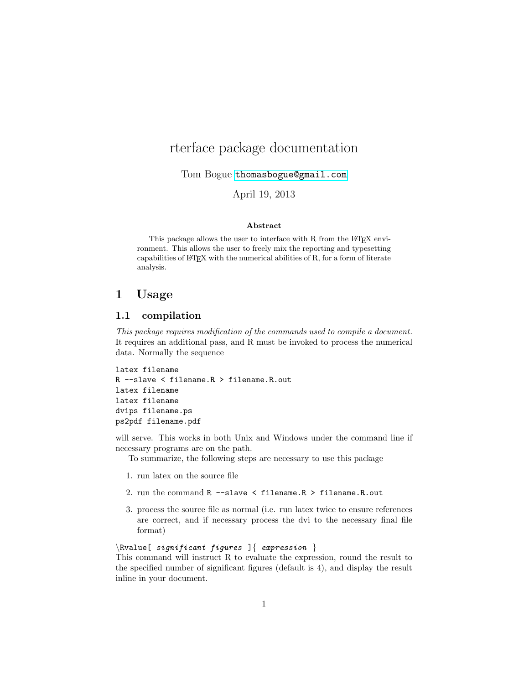# rterface package documentation

Tom Bogue <thomasbogue@gmail.com>

### April 19, 2013

#### Abstract

This package allows the user to interface with R from the L<sup>AT</sup>EX environment. This allows the user to freely mix the reporting and typesetting capabilities of  $L^2$ FEX with the numerical abilities of R, for a form of literate analysis.

### 1 Usage

### 1.1 compilation

This package requires modification of the commands used to compile a document. It requires an additional pass, and R must be invoked to process the numerical data. Normally the sequence

```
latex filename
R --slave < filename.R > filename.R.out
latex filename
latex filename
dvips filename.ps
ps2pdf filename.pdf
```
will serve. This works in both Unix and Windows under the command line if necessary programs are on the path.

To summarize, the following steps are necessary to use this package

- 1. run latex on the source file
- 2. run the command R --slave < filename.R > filename.R.out
- 3. process the source file as normal (i.e. run latex twice to ensure references are correct, and if necessary process the dvi to the necessary final file format)

 $\hbox{Rvalue}$  significant figures  $\{$  expression  $\}$ 

This command will instruct R to evaluate the expression, round the result to the specified number of significant figures (default is 4), and display the result inline in your document.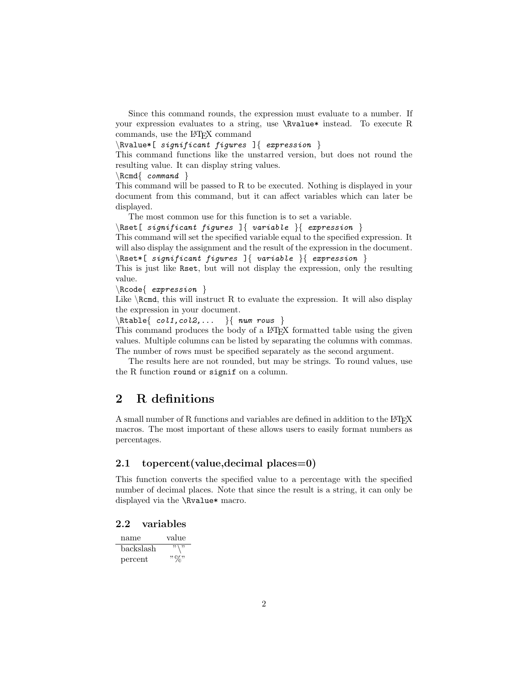Since this command rounds, the expression must evaluate to a number. If your expression evaluates to a string, use \Rvalue\* instead. To execute R commands, use the L<sup>A</sup>TEX command

 $\hbox{Rvalue*}[ significant figures ] { expression } \$ 

This command functions like the unstarred version, but does not round the resulting value. It can display string values.

 $\r$ cmd{ command }

This command will be passed to R to be executed. Nothing is displayed in your document from this command, but it can affect variables which can later be displayed.

The most common use for this function is to set a variable.

 $\Re\text{Set}$  significant figures  $\Re\$  variable  $\Re\$  expression  $\Re\$ 

This command will set the specified variable equal to the specified expression. It will also display the assignment and the result of the expression in the document.  $\Re\text{Set*}[$  significant figures  $]\{$  variable  $\{$  expression  $\}$ 

This is just like Rset, but will not display the expression, only the resulting value.

 $\{$  expression  $\}$ 

Like  $\R$ cmd, this will instruct R to evaluate the expression. It will also display the expression in your document.

 $\{Rtable{ col1, col2, ... }{ num rows }$ 

This command produces the body of a LAT<sub>EX</sub> formatted table using the given values. Multiple columns can be listed by separating the columns with commas. The number of rows must be specified separately as the second argument.

The results here are not rounded, but may be strings. To round values, use the R function round or signif on a column.

## 2 R definitions

A small number of R functions and variables are defined in addition to the LATEX macros. The most important of these allows users to easily format numbers as percentages.

#### 2.1 topercent (value, decimal places = 0)

This function converts the specified value to a percentage with the specified number of decimal places. Note that since the result is a string, it can only be displayed via the \Rvalue\* macro.

#### 2.2 variables

| name      | value        |
|-----------|--------------|
| backslash | $22 \mid 22$ |
| percent   | , 07,        |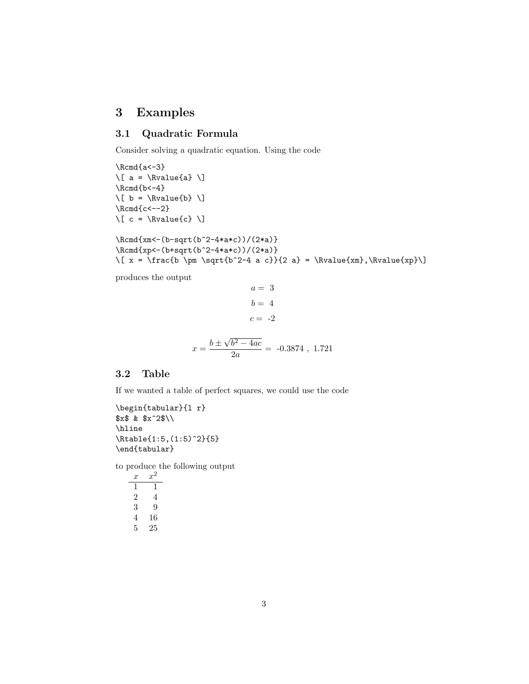## 3 Examples

### 3.1 Quadratic Formula

Consider solving a quadratic equation. Using the code

\Rcmd{a<-3}  $\{a = \kappa\}$  $\Lambda_{b<-4}$  $\{ b = \kappa_{b} \} \$  $\Lambda_{c<-2}$  $\[\ C = \N$ alue{c}  $\]\]$ 

\Rcmd{xm<-(b-sqrt(b^2-4\*a\*c))/(2\*a)} \Rcmd{xp<-(b+sqrt(b^2-4\*a\*c))/(2\*a)} \[  $x = \frac{b \pm \sqrt{b^2-4} a c}$ {2 a} = \Rvalue{xm},\Rvalue{xp}\]

produces the output

$$
a = 3
$$

$$
b = 4
$$

$$
c = -2
$$

$$
x = \frac{b \pm \sqrt{b^2 - 4ac}}{2a} = -0.3874, 1.721
$$

### 3.2 Table

If we wanted a table of perfect squares, we could use the code

\begin{tabular}{l r} \$x\$ & \$x^2\$\\ \hline \Rtable{1:5,(1:5)^2}{5} \end{tabular}

to produce the following output

| x | $x^2$ |
|---|-------|
| 1 | 1     |
| 2 | 4     |
| 3 | 9     |
| 4 | 16    |
| 5 | 25    |